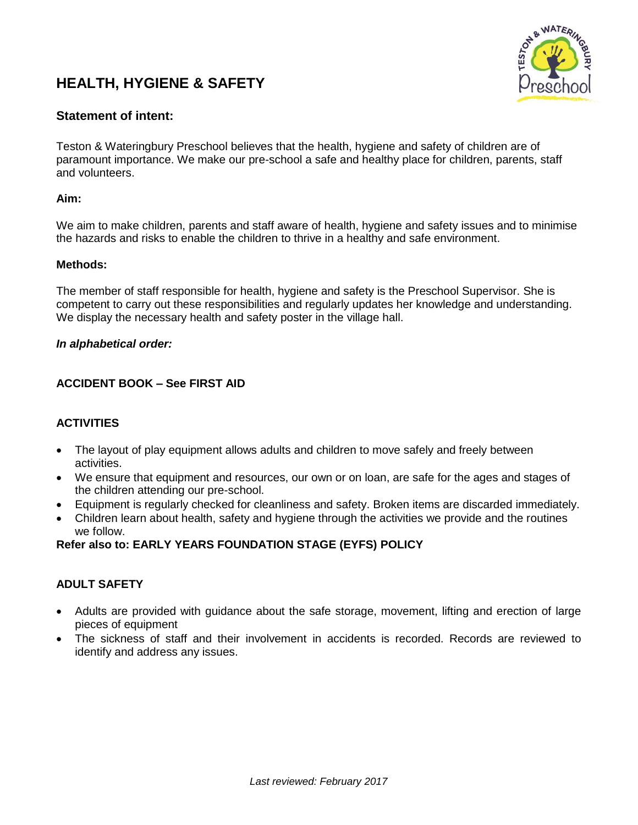# **HEALTH, HYGIENE & SAFETY**



# **Statement of intent:**

Teston & Wateringbury Preschool believes that the health, hygiene and safety of children are of paramount importance. We make our pre-school a safe and healthy place for children, parents, staff and volunteers.

### **Aim:**

We aim to make children, parents and staff aware of health, hygiene and safety issues and to minimise the hazards and risks to enable the children to thrive in a healthy and safe environment.

#### **Methods:**

The member of staff responsible for health, hygiene and safety is the Preschool Supervisor. She is competent to carry out these responsibilities and regularly updates her knowledge and understanding. We display the necessary health and safety poster in the village hall.

#### *In alphabetical order:*

### **ACCIDENT BOOK – See FIRST AID**

### **ACTIVITIES**

- The layout of play equipment allows adults and children to move safely and freely between activities.
- We ensure that equipment and resources, our own or on loan, are safe for the ages and stages of the children attending our pre-school.
- Equipment is regularly checked for cleanliness and safety. Broken items are discarded immediately.
- Children learn about health, safety and hygiene through the activities we provide and the routines we follow.

### **Refer also to: EARLY YEARS FOUNDATION STAGE (EYFS) POLICY**

### **ADULT SAFETY**

- Adults are provided with guidance about the safe storage, movement, lifting and erection of large pieces of equipment
- The sickness of staff and their involvement in accidents is recorded. Records are reviewed to identify and address any issues.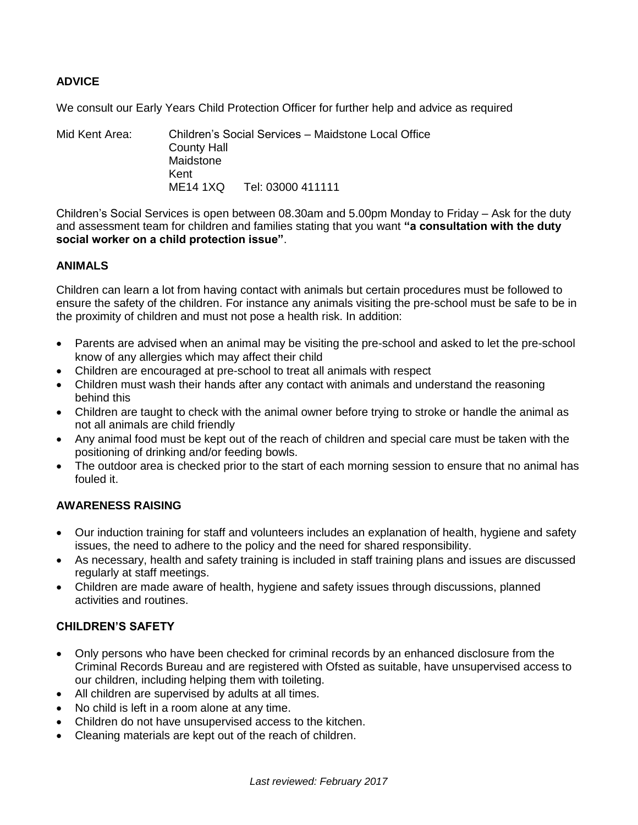# **ADVICE**

We consult our Early Years Child Protection Officer for further help and advice as required

Mid Kent Area: Children's Social Services – Maidstone Local Office County Hall Maidstone Kent ME14 1XQ Tel: 03000 411111

Children's Social Services is open between 08.30am and 5.00pm Monday to Friday – Ask for the duty and assessment team for children and families stating that you want **"a consultation with the duty social worker on a child protection issue"**.

### **ANIMALS**

Children can learn a lot from having contact with animals but certain procedures must be followed to ensure the safety of the children. For instance any animals visiting the pre-school must be safe to be in the proximity of children and must not pose a health risk. In addition:

- Parents are advised when an animal may be visiting the pre-school and asked to let the pre-school know of any allergies which may affect their child
- Children are encouraged at pre-school to treat all animals with respect
- Children must wash their hands after any contact with animals and understand the reasoning behind this
- Children are taught to check with the animal owner before trying to stroke or handle the animal as not all animals are child friendly
- Any animal food must be kept out of the reach of children and special care must be taken with the positioning of drinking and/or feeding bowls.
- The outdoor area is checked prior to the start of each morning session to ensure that no animal has fouled it.

### **AWARENESS RAISING**

- Our induction training for staff and volunteers includes an explanation of health, hygiene and safety issues, the need to adhere to the policy and the need for shared responsibility.
- As necessary, health and safety training is included in staff training plans and issues are discussed regularly at staff meetings.
- Children are made aware of health, hygiene and safety issues through discussions, planned activities and routines.

### **CHILDREN'S SAFETY**

- Only persons who have been checked for criminal records by an enhanced disclosure from the Criminal Records Bureau and are registered with Ofsted as suitable, have unsupervised access to our children, including helping them with toileting.
- All children are supervised by adults at all times.
- No child is left in a room alone at any time.
- Children do not have unsupervised access to the kitchen.
- Cleaning materials are kept out of the reach of children.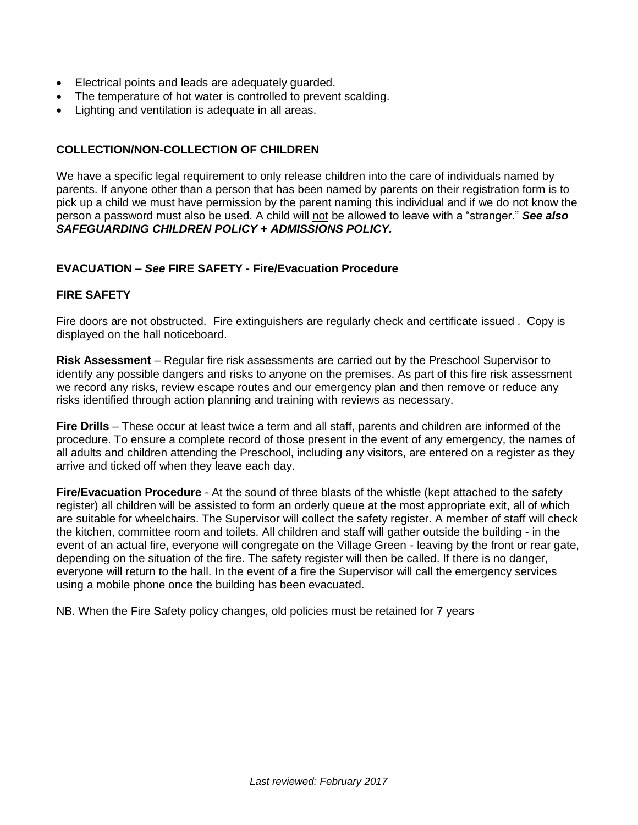- Electrical points and leads are adequately guarded.
- The temperature of hot water is controlled to prevent scalding.
- Lighting and ventilation is adequate in all areas.

## **COLLECTION/NON-COLLECTION OF CHILDREN**

We have a specific legal requirement to only release children into the care of individuals named by parents. If anyone other than a person that has been named by parents on their registration form is to pick up a child we must have permission by the parent naming this individual and if we do not know the person a password must also be used. A child will not be allowed to leave with a "stranger." *See also SAFEGUARDING CHILDREN POLICY* **+** *ADMISSIONS POLICY.*

### **EVACUATION –** *See* **FIRE SAFETY - Fire/Evacuation Procedure**

### **FIRE SAFETY**

Fire doors are not obstructed. Fire extinguishers are regularly check and certificate issued . Copy is displayed on the hall noticeboard.

**Risk Assessment** – Regular fire risk assessments are carried out by the Preschool Supervisor to identify any possible dangers and risks to anyone on the premises. As part of this fire risk assessment we record any risks, review escape routes and our emergency plan and then remove or reduce any risks identified through action planning and training with reviews as necessary.

**Fire Drills** – These occur at least twice a term and all staff, parents and children are informed of the procedure. To ensure a complete record of those present in the event of any emergency, the names of all adults and children attending the Preschool, including any visitors, are entered on a register as they arrive and ticked off when they leave each day.

**Fire/Evacuation Procedure** - At the sound of three blasts of the whistle (kept attached to the safety register) all children will be assisted to form an orderly queue at the most appropriate exit, all of which are suitable for wheelchairs. The Supervisor will collect the safety register. A member of staff will check the kitchen, committee room and toilets. All children and staff will gather outside the building - in the event of an actual fire, everyone will congregate on the Village Green - leaving by the front or rear gate, depending on the situation of the fire. The safety register will then be called. If there is no danger, everyone will return to the hall. In the event of a fire the Supervisor will call the emergency services using a mobile phone once the building has been evacuated.

NB. When the Fire Safety policy changes, old policies must be retained for 7 years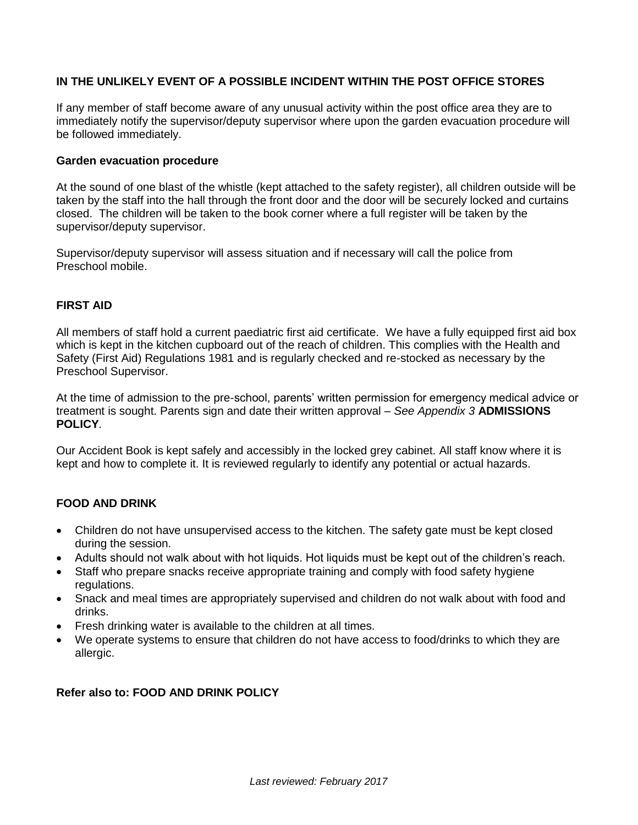### **IN THE UNLIKELY EVENT OF A POSSIBLE INCIDENT WITHIN THE POST OFFICE STORES**

If any member of staff become aware of any unusual activity within the post office area they are to immediately notify the supervisor/deputy supervisor where upon the garden evacuation procedure will be followed immediately.

#### **Garden evacuation procedure**

At the sound of one blast of the whistle (kept attached to the safety register), all children outside will be taken by the staff into the hall through the front door and the door will be securely locked and curtains closed. The children will be taken to the book corner where a full register will be taken by the supervisor/deputy supervisor.

Supervisor/deputy supervisor will assess situation and if necessary will call the police from Preschool mobile.

### **FIRST AID**

All members of staff hold a current paediatric first aid certificate. We have a fully equipped first aid box which is kept in the kitchen cupboard out of the reach of children. This complies with the Health and Safety (First Aid) Regulations 1981 and is regularly checked and re-stocked as necessary by the Preschool Supervisor.

At the time of admission to the pre-school, parents' written permission for emergency medical advice or treatment is sought. Parents sign and date their written approval – *See Appendix 3* **ADMISSIONS POLICY***.*

Our Accident Book is kept safely and accessibly in the locked grey cabinet. All staff know where it is kept and how to complete it. It is reviewed regularly to identify any potential or actual hazards.

### **FOOD AND DRINK**

- Children do not have unsupervised access to the kitchen. The safety gate must be kept closed during the session.
- Adults should not walk about with hot liquids. Hot liquids must be kept out of the children's reach.
- Staff who prepare snacks receive appropriate training and comply with food safety hygiene regulations.
- Snack and meal times are appropriately supervised and children do not walk about with food and drinks.
- Fresh drinking water is available to the children at all times.
- We operate systems to ensure that children do not have access to food/drinks to which they are allergic.

### **Refer also to: FOOD AND DRINK POLICY**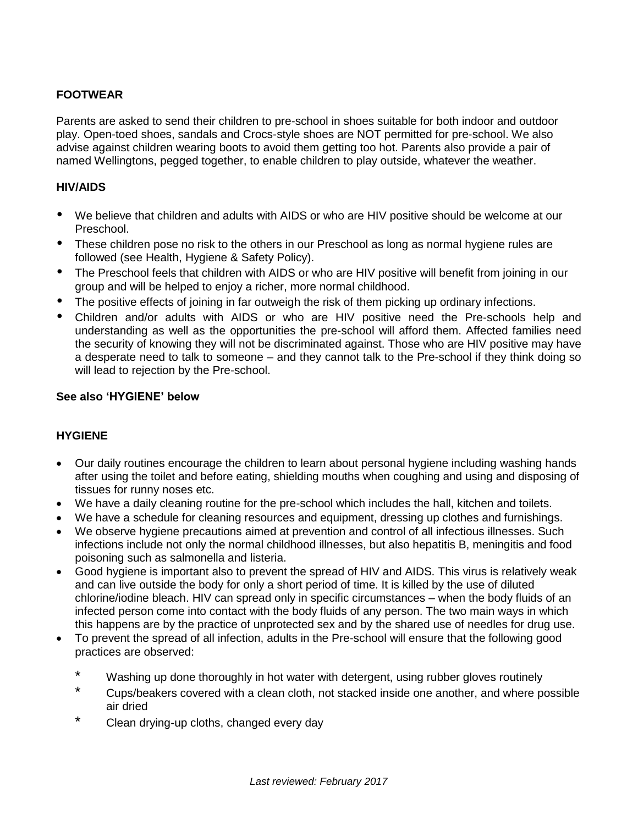# **FOOTWEAR**

Parents are asked to send their children to pre-school in shoes suitable for both indoor and outdoor play. Open-toed shoes, sandals and Crocs-style shoes are NOT permitted for pre-school. We also advise against children wearing boots to avoid them getting too hot. Parents also provide a pair of named Wellingtons, pegged together, to enable children to play outside, whatever the weather.

### **HIV/AIDS**

- We believe that children and adults with AIDS or who are HIV positive should be welcome at our Preschool.
- These children pose no risk to the others in our Preschool as long as normal hygiene rules are followed (see Health, Hygiene & Safety Policy).
- The Preschool feels that children with AIDS or who are HIV positive will benefit from joining in our group and will be helped to enjoy a richer, more normal childhood.
- The positive effects of joining in far outweigh the risk of them picking up ordinary infections.
- Children and/or adults with AIDS or who are HIV positive need the Pre-schools help and understanding as well as the opportunities the pre-school will afford them. Affected families need the security of knowing they will not be discriminated against. Those who are HIV positive may have a desperate need to talk to someone – and they cannot talk to the Pre-school if they think doing so will lead to rejection by the Pre-school.

### **See also 'HYGIENE' below**

### **HYGIENE**

- Our daily routines encourage the children to learn about personal hygiene including washing hands after using the toilet and before eating, shielding mouths when coughing and using and disposing of tissues for runny noses etc.
- We have a daily cleaning routine for the pre-school which includes the hall, kitchen and toilets.
- We have a schedule for cleaning resources and equipment, dressing up clothes and furnishings.
- We observe hygiene precautions aimed at prevention and control of all infectious illnesses. Such infections include not only the normal childhood illnesses, but also hepatitis B, meningitis and food poisoning such as salmonella and listeria.
- Good hygiene is important also to prevent the spread of HIV and AIDS. This virus is relatively weak and can live outside the body for only a short period of time. It is killed by the use of diluted chlorine/iodine bleach. HIV can spread only in specific circumstances – when the body fluids of an infected person come into contact with the body fluids of any person. The two main ways in which this happens are by the practice of unprotected sex and by the shared use of needles for drug use.
- To prevent the spread of all infection, adults in the Pre-school will ensure that the following good practices are observed:
	- \* Washing up done thoroughly in hot water with detergent, using rubber gloves routinely
	- \* Cups/beakers covered with a clean cloth, not stacked inside one another, and where possible air dried
	- \* Clean drying-up cloths, changed every day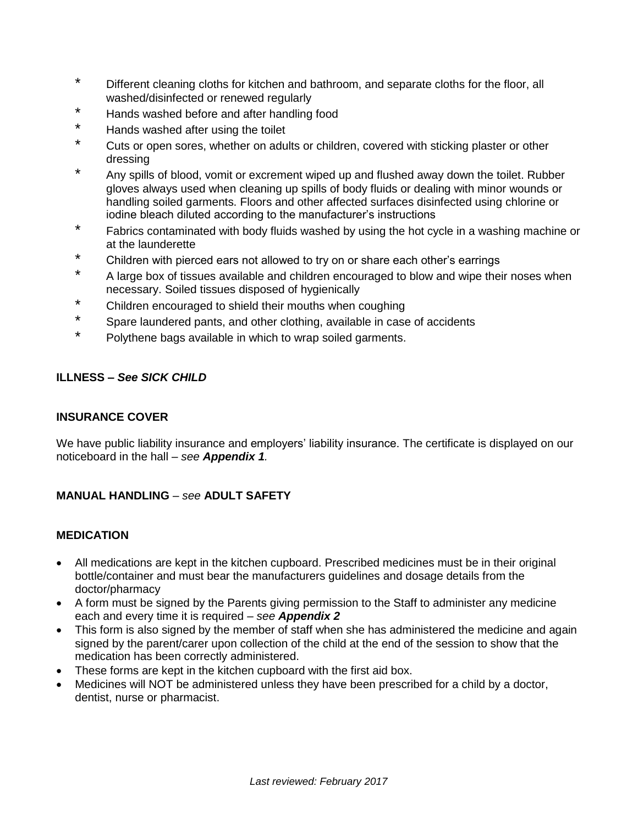- \* Different cleaning cloths for kitchen and bathroom, and separate cloths for the floor, all washed/disinfected or renewed regularly
- \* Hands washed before and after handling food
- Hands washed after using the toilet
- \* Cuts or open sores, whether on adults or children, covered with sticking plaster or other dressing
- Any spills of blood, vomit or excrement wiped up and flushed away down the toilet. Rubber gloves always used when cleaning up spills of body fluids or dealing with minor wounds or handling soiled garments. Floors and other affected surfaces disinfected using chlorine or iodine bleach diluted according to the manufacturer's instructions
- \* Fabrics contaminated with body fluids washed by using the hot cycle in a washing machine or at the launderette
- \* Children with pierced ears not allowed to try on or share each other's earrings
- \* A large box of tissues available and children encouraged to blow and wipe their noses when necessary. Soiled tissues disposed of hygienically
- \* Children encouraged to shield their mouths when coughing
- \* Spare laundered pants, and other clothing, available in case of accidents
- \* Polythene bags available in which to wrap soiled garments.

### **ILLNESS –** *See SICK CHILD*

### **INSURANCE COVER**

We have public liability insurance and employers' liability insurance. The certificate is displayed on our noticeboard in the hall – *see Appendix 1.*

# **MANUAL HANDLING** – *see* **ADULT SAFETY**

### **MEDICATION**

- All medications are kept in the kitchen cupboard. Prescribed medicines must be in their original bottle/container and must bear the manufacturers guidelines and dosage details from the doctor/pharmacy
- A form must be signed by the Parents giving permission to the Staff to administer any medicine each and every time it is required – *see Appendix 2*
- This form is also signed by the member of staff when she has administered the medicine and again signed by the parent/carer upon collection of the child at the end of the session to show that the medication has been correctly administered.
- These forms are kept in the kitchen cupboard with the first aid box.
- Medicines will NOT be administered unless they have been prescribed for a child by a doctor, dentist, nurse or pharmacist.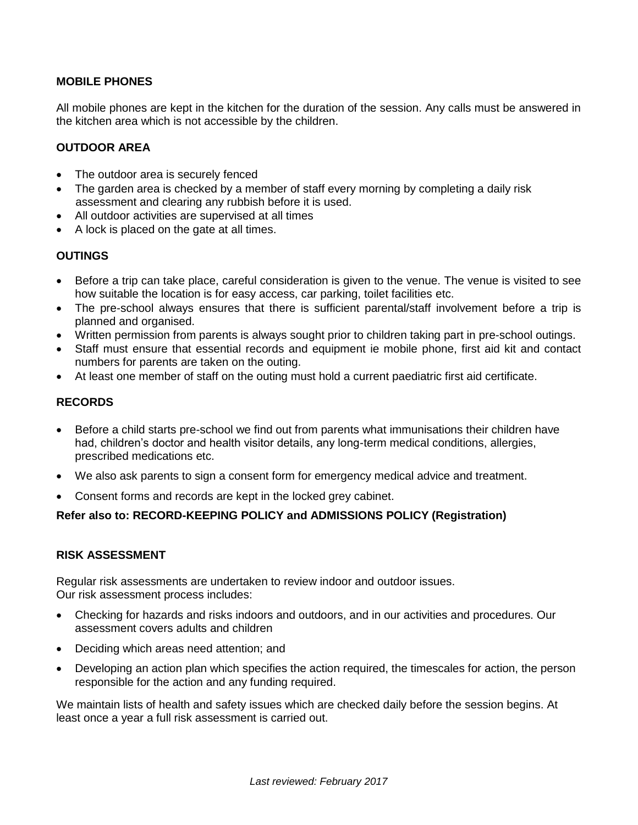### **MOBILE PHONES**

All mobile phones are kept in the kitchen for the duration of the session. Any calls must be answered in the kitchen area which is not accessible by the children.

### **OUTDOOR AREA**

- The outdoor area is securely fenced
- The garden area is checked by a member of staff every morning by completing a daily risk assessment and clearing any rubbish before it is used.
- All outdoor activities are supervised at all times
- A lock is placed on the gate at all times.

### **OUTINGS**

- Before a trip can take place, careful consideration is given to the venue. The venue is visited to see how suitable the location is for easy access, car parking, toilet facilities etc.
- The pre-school always ensures that there is sufficient parental/staff involvement before a trip is planned and organised.
- Written permission from parents is always sought prior to children taking part in pre-school outings.
- Staff must ensure that essential records and equipment ie mobile phone, first aid kit and contact numbers for parents are taken on the outing.
- At least one member of staff on the outing must hold a current paediatric first aid certificate.

### **RECORDS**

- Before a child starts pre-school we find out from parents what immunisations their children have had, children's doctor and health visitor details, any long-term medical conditions, allergies, prescribed medications etc.
- We also ask parents to sign a consent form for emergency medical advice and treatment.
- Consent forms and records are kept in the locked grey cabinet.

### **Refer also to: RECORD-KEEPING POLICY and ADMISSIONS POLICY (Registration)**

### **RISK ASSESSMENT**

Regular risk assessments are undertaken to review indoor and outdoor issues. Our risk assessment process includes:

- Checking for hazards and risks indoors and outdoors, and in our activities and procedures. Our assessment covers adults and children
- Deciding which areas need attention; and
- Developing an action plan which specifies the action required, the timescales for action, the person responsible for the action and any funding required.

We maintain lists of health and safety issues which are checked daily before the session begins. At least once a year a full risk assessment is carried out.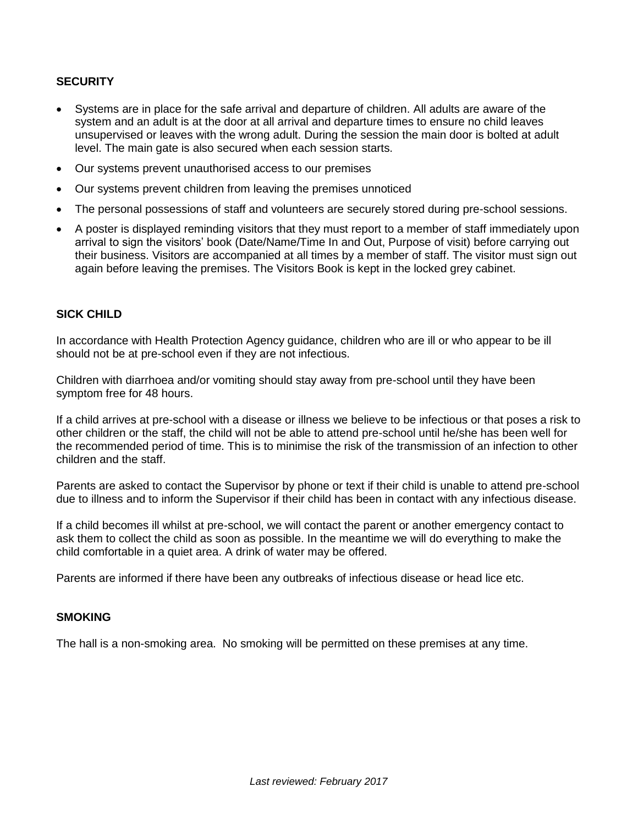## **SECURITY**

- Systems are in place for the safe arrival and departure of children. All adults are aware of the system and an adult is at the door at all arrival and departure times to ensure no child leaves unsupervised or leaves with the wrong adult. During the session the main door is bolted at adult level. The main gate is also secured when each session starts.
- Our systems prevent unauthorised access to our premises
- Our systems prevent children from leaving the premises unnoticed
- The personal possessions of staff and volunteers are securely stored during pre-school sessions.
- A poster is displayed reminding visitors that they must report to a member of staff immediately upon arrival to sign the visitors' book (Date/Name/Time In and Out, Purpose of visit) before carrying out their business. Visitors are accompanied at all times by a member of staff. The visitor must sign out again before leaving the premises. The Visitors Book is kept in the locked grey cabinet.

#### **SICK CHILD**

In accordance with Health Protection Agency guidance, children who are ill or who appear to be ill should not be at pre-school even if they are not infectious.

Children with diarrhoea and/or vomiting should stay away from pre-school until they have been symptom free for 48 hours.

If a child arrives at pre-school with a disease or illness we believe to be infectious or that poses a risk to other children or the staff, the child will not be able to attend pre-school until he/she has been well for the recommended period of time. This is to minimise the risk of the transmission of an infection to other children and the staff.

Parents are asked to contact the Supervisor by phone or text if their child is unable to attend pre-school due to illness and to inform the Supervisor if their child has been in contact with any infectious disease.

If a child becomes ill whilst at pre-school, we will contact the parent or another emergency contact to ask them to collect the child as soon as possible. In the meantime we will do everything to make the child comfortable in a quiet area. A drink of water may be offered.

Parents are informed if there have been any outbreaks of infectious disease or head lice etc.

#### **SMOKING**

The hall is a non-smoking area. No smoking will be permitted on these premises at any time.